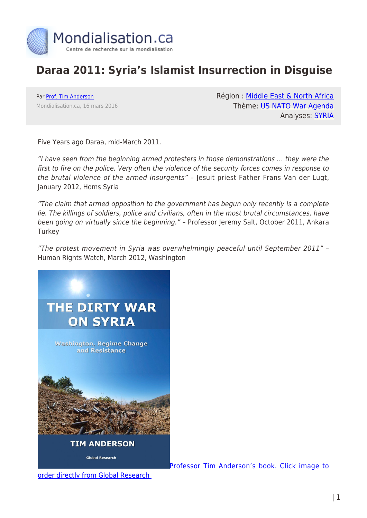

## **Daraa 2011: Syria's Islamist Insurrection in Disguise**

Par [Prof. Tim Anderson](https://www.mondialisation.ca/author/tim-anderson) Mondialisation.ca, 16 mars 2016 Région : [Middle East & North Africa](https://www.mondialisation.ca/region/middle-east) Thème: [US NATO War Agenda](https://www.mondialisation.ca/theme/us-nato-war-agenda) Analyses: [SYRIA](https://www.mondialisation.ca/indepthreport/syria-nato-s-next-war)

Five Years ago Daraa, mid-March 2011.

"I have seen from the beginning armed protesters in those demonstrations … they were the first to fire on the police. Very often the violence of the security forces comes in response to the brutal violence of the armed insurgents" – Jesuit priest Father Frans Van der Lugt, January 2012, Homs Syria

"The claim that armed opposition to the government has begun only recently is a complete lie. The killings of soldiers, police and civilians, often in the most brutal circumstances, have been going on virtually since the beginning." – Professor Jeremy Salt, October 2011, Ankara **Turkey** 

"The protest movement in Syria was overwhelmingly peaceful until September 2011" – Human Rights Watch, March 2012, Washington



**Global Research** 

[Professor Tim Anderson's book. Click image to](https://store.globalresearch.ca/store/the-dirty-war-on-syria-washington-regime-change-and-resistance-pdf/)

[order directly from Global Research](https://store.globalresearch.ca/store/the-dirty-war-on-syria-washington-regime-change-and-resistance-pdf/)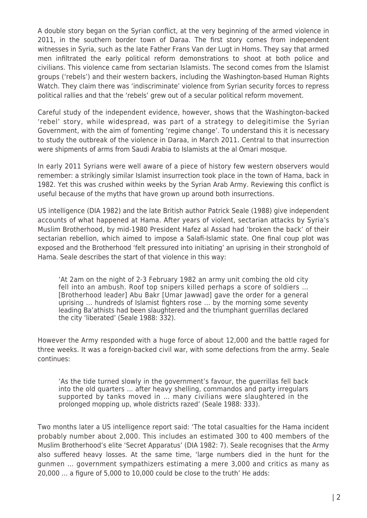A double story began on the Syrian conflict, at the very beginning of the armed violence in 2011, in the southern border town of Daraa. The first story comes from independent witnesses in Syria, such as the late Father Frans Van der Lugt in Homs. They say that armed men infiltrated the early political reform demonstrations to shoot at both police and civilians. This violence came from sectarian Islamists. The second comes from the Islamist groups ('rebels') and their western backers, including the Washington-based Human Rights Watch. They claim there was 'indiscriminate' violence from Syrian security forces to repress political rallies and that the 'rebels' grew out of a secular political reform movement.

Careful study of the independent evidence, however, shows that the Washington-backed 'rebel' story, while widespread, was part of a strategy to delegitimise the Syrian Government, with the aim of fomenting 'regime change'. To understand this it is necessary to study the outbreak of the violence in Daraa, in March 2011. Central to that insurrection were shipments of arms from Saudi Arabia to Islamists at the al Omari mosque.

In early 2011 Syrians were well aware of a piece of history few western observers would remember: a strikingly similar Islamist insurrection took place in the town of Hama, back in 1982. Yet this was crushed within weeks by the Syrian Arab Army. Reviewing this conflict is useful because of the myths that have grown up around both insurrections.

US intelligence (DIA 1982) and the late British author Patrick Seale (1988) give independent accounts of what happened at Hama. After years of violent, sectarian attacks by Syria's Muslim Brotherhood, by mid-1980 President Hafez al Assad had 'broken the back' of their sectarian rebellion, which aimed to impose a Salafi-Islamic state. One final coup plot was exposed and the Brotherhood 'felt pressured into initiating' an uprising in their stronghold of Hama. Seale describes the start of that violence in this way:

'At 2am on the night of 2-3 February 1982 an army unit combing the old city fell into an ambush. Roof top snipers killed perhaps a score of soldiers … [Brotherhood leader] Abu Bakr [Umar Jawwad] gave the order for a general uprising … hundreds of Islamist fighters rose … by the morning some seventy leading Ba'athists had been slaughtered and the triumphant guerrillas declared the city 'liberated' (Seale 1988: 332).

However the Army responded with a huge force of about 12,000 and the battle raged for three weeks. It was a foreign-backed civil war, with some defections from the army. Seale continues:

'As the tide turned slowly in the government's favour, the guerrillas fell back into the old quarters … after heavy shelling, commandos and party irregulars supported by tanks moved in … many civilians were slaughtered in the prolonged mopping up, whole districts razed' (Seale 1988: 333).

Two months later a US intelligence report said: 'The total casualties for the Hama incident probably number about 2,000. This includes an estimated 300 to 400 members of the Muslim Brotherhood's elite 'Secret Apparatus' (DIA 1982: 7). Seale recognises that the Army also suffered heavy losses. At the same time, 'large numbers died in the hunt for the gunmen … government sympathizers estimating a mere 3,000 and critics as many as 20,000 … a figure of 5,000 to 10,000 could be close to the truth' He adds: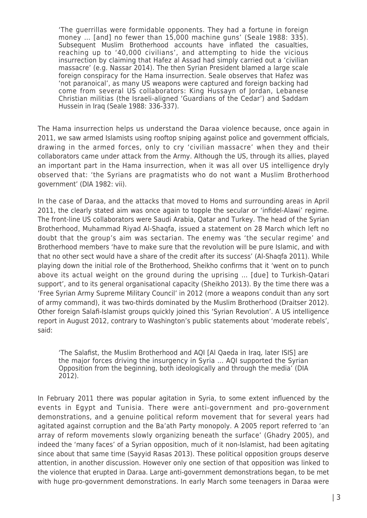'The guerrillas were formidable opponents. They had a fortune in foreign money … [and] no fewer than 15,000 machine guns' (Seale 1988: 335). Subsequent Muslim Brotherhood accounts have inflated the casualties, reaching up to '40,000 civilians', and attempting to hide the vicious insurrection by claiming that Hafez al Assad had simply carried out a 'civilian massacre' (e.g. Nassar 2014). The then Syrian President blamed a large scale foreign conspiracy for the Hama insurrection. Seale observes that Hafez was 'not paranoical', as many US weapons were captured and foreign backing had come from several US collaborators: King Hussayn of Jordan, Lebanese Christian militias (the Israeli-aligned 'Guardians of the Cedar') and Saddam Hussein in Iraq (Seale 1988: 336-337).

The Hama insurrection helps us understand the Daraa violence because, once again in 2011, we saw armed Islamists using rooftop sniping against police and government officials, drawing in the armed forces, only to cry 'civilian massacre' when they and their collaborators came under attack from the Army. Although the US, through its allies, played an important part in the Hama insurrection, when it was all over US intelligence dryly observed that: 'the Syrians are pragmatists who do not want a Muslim Brotherhood government' (DIA 1982: vii).

In the case of Daraa, and the attacks that moved to Homs and surrounding areas in April 2011, the clearly stated aim was once again to topple the secular or 'infidel-Alawi' regime. The front-line US collaborators were Saudi Arabia, Qatar and Turkey. The head of the Syrian Brotherhood, Muhammad Riyad Al-Shaqfa, issued a statement on 28 March which left no doubt that the group's aim was sectarian. The enemy was 'the secular regime' and Brotherhood members 'have to make sure that the revolution will be pure Islamic, and with that no other sect would have a share of the credit after its success' (Al-Shaqfa 2011). While playing down the initial role of the Brotherhood, Sheikho confirms that it 'went on to punch above its actual weight on the ground during the uprising … [due] to Turkish-Qatari support', and to its general organisational capacity (Sheikho 2013). By the time there was a 'Free Syrian Army Supreme Military Council' in 2012 (more a weapons conduit than any sort of army command), it was two-thirds dominated by the Muslim Brotherhood (Draitser 2012). Other foreign Salafi-Islamist groups quickly joined this 'Syrian Revolution'. A US intelligence report in August 2012, contrary to Washington's public statements about 'moderate rebels', said:

'The Salafist, the Muslim Brotherhood and AQI [Al Qaeda in Iraq, later ISIS] are the major forces driving the insurgency in Syria … AQI supported the Syrian Opposition from the beginning, both ideologically and through the media' (DIA 2012).

In February 2011 there was popular agitation in Syria, to some extent influenced by the events in Egypt and Tunisia. There were anti-government and pro-government demonstrations, and a genuine political reform movement that for several years had agitated against corruption and the Ba'ath Party monopoly. A 2005 report referred to 'an array of reform movements slowly organizing beneath the surface' (Ghadry 2005), and indeed the 'many faces' of a Syrian opposition, much of it non-Islamist, had been agitating since about that same time (Sayyid Rasas 2013). These political opposition groups deserve attention, in another discussion. However only one section of that opposition was linked to the violence that erupted in Daraa. Large anti-government demonstrations began, to be met with huge pro-government demonstrations. In early March some teenagers in Daraa were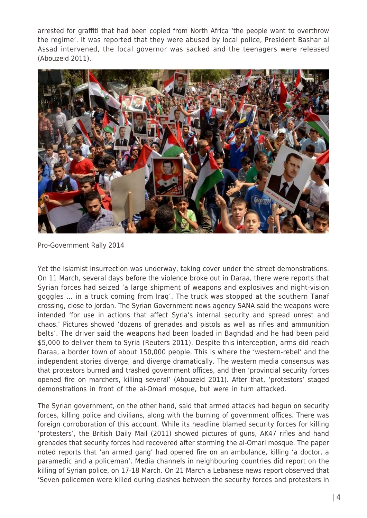arrested for graffiti that had been copied from North Africa 'the people want to overthrow the regime'. It was reported that they were abused by local police, President Bashar al Assad intervened, the local governor was sacked and the teenagers were released (Abouzeid 2011).



Pro-Government Rally 2014

Yet the Islamist insurrection was underway, taking cover under the street demonstrations. On 11 March, several days before the violence broke out in Daraa, there were reports that Syrian forces had seized 'a large shipment of weapons and explosives and night-vision goggles … in a truck coming from Iraq'. The truck was stopped at the southern Tanaf crossing, close to Jordan. The Syrian Government news agency SANA said the weapons were intended 'for use in actions that affect Syria's internal security and spread unrest and chaos.' Pictures showed 'dozens of grenades and pistols as well as rifles and ammunition belts'. The driver said the weapons had been loaded in Baghdad and he had been paid \$5,000 to deliver them to Syria (Reuters 2011). Despite this interception, arms did reach Daraa, a border town of about 150,000 people. This is where the 'western-rebel' and the independent stories diverge, and diverge dramatically. The western media consensus was that protestors burned and trashed government offices, and then 'provincial security forces opened fire on marchers, killing several' (Abouzeid 2011). After that, 'protestors' staged demonstrations in front of the al-Omari mosque, but were in turn attacked.

The Syrian government, on the other hand, said that armed attacks had begun on security forces, killing police and civilians, along with the burning of government offices. There was foreign corroboration of this account. While its headline blamed security forces for killing 'protesters', the British Daily Mail (2011) showed pictures of guns, AK47 rifles and hand grenades that security forces had recovered after storming the al-Omari mosque. The paper noted reports that 'an armed gang' had opened fire on an ambulance, killing 'a doctor, a paramedic and a policeman'. Media channels in neighbouring countries did report on the killing of Syrian police, on 17-18 March. On 21 March a Lebanese news report observed that 'Seven policemen were killed during clashes between the security forces and protesters in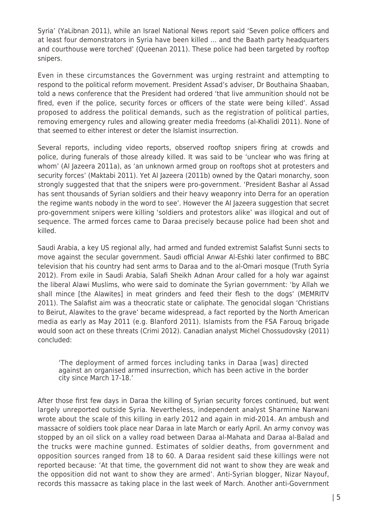Syria' (YaLibnan 2011), while an Israel National News report said 'Seven police officers and at least four demonstrators in Syria have been killed … and the Baath party headquarters and courthouse were torched' (Queenan 2011). These police had been targeted by rooftop snipers.

Even in these circumstances the Government was urging restraint and attempting to respond to the political reform movement. President Assad's adviser, Dr Bouthaina Shaaban, told a news conference that the President had ordered 'that live ammunition should not be fired, even if the police, security forces or officers of the state were being killed'. Assad proposed to address the political demands, such as the registration of political parties, removing emergency rules and allowing greater media freedoms (al-Khalidi 2011). None of that seemed to either interest or deter the Islamist insurrection.

Several reports, including video reports, observed rooftop snipers firing at crowds and police, during funerals of those already killed. It was said to be 'unclear who was firing at whom' (Al Jazeera 2011a), as 'an unknown armed group on rooftops shot at protesters and security forces' (Maktabi 2011). Yet Al Jazeera (2011b) owned by the Qatari monarchy, soon strongly suggested that that the snipers were pro-government. 'President Bashar al Assad has sent thousands of Syrian soldiers and their heavy weaponry into Derra for an operation the regime wants nobody in the word to see'. However the Al Jazeera suggestion that secret pro-government snipers were killing 'soldiers and protestors alike' was illogical and out of sequence. The armed forces came to Daraa precisely because police had been shot and killed.

Saudi Arabia, a key US regional ally, had armed and funded extremist Salafist Sunni sects to move against the secular government. Saudi official Anwar Al-Eshki later confirmed to BBC television that his country had sent arms to Daraa and to the al-Omari mosque (Truth Syria 2012). From exile in Saudi Arabia, Salafi Sheikh Adnan Arour called for a holy war against the liberal Alawi Muslims, who were said to dominate the Syrian government: 'by Allah we shall mince [the Alawites] in meat grinders and feed their flesh to the dogs' (MEMRITV 2011). The Salafist aim was a theocratic state or caliphate. The genocidal slogan 'Christians to Beirut, Alawites to the grave' became widespread, a fact reported by the North American media as early as May 2011 (e.g. Blanford 2011). Islamists from the FSA Farouq brigade would soon act on these threats (Crimi 2012). Canadian analyst Michel Chossudovsky (2011) concluded:

'The deployment of armed forces including tanks in Daraa [was] directed against an organised armed insurrection, which has been active in the border city since March 17-18.'

After those first few days in Daraa the killing of Syrian security forces continued, but went largely unreported outside Syria. Nevertheless, independent analyst Sharmine Narwani wrote about the scale of this killing in early 2012 and again in mid-2014. An ambush and massacre of soldiers took place near Daraa in late March or early April. An army convoy was stopped by an oil slick on a valley road between Daraa al-Mahata and Daraa al-Balad and the trucks were machine gunned. Estimates of soldier deaths, from government and opposition sources ranged from 18 to 60. A Daraa resident said these killings were not reported because: 'At that time, the government did not want to show they are weak and the opposition did not want to show they are armed'. Anti-Syrian blogger, Nizar Nayouf, records this massacre as taking place in the last week of March. Another anti-Government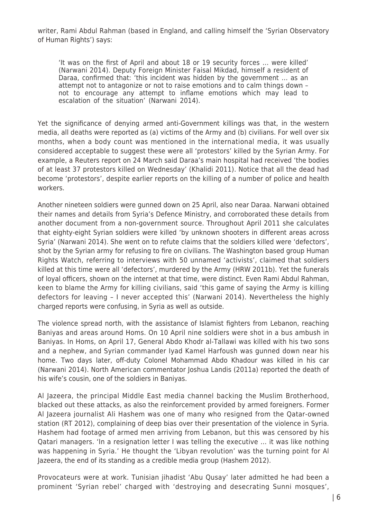writer, Rami Abdul Rahman (based in England, and calling himself the 'Syrian Observatory of Human Rights') says:

'It was on the first of April and about 18 or 19 security forces … were killed' (Narwani 2014). Deputy Foreign Minister Faisal Mikdad, himself a resident of Daraa, confirmed that: 'this incident was hidden by the government … as an attempt not to antagonize or not to raise emotions and to calm things down – not to encourage any attempt to inflame emotions which may lead to escalation of the situation' (Narwani 2014).

Yet the significance of denying armed anti-Government killings was that, in the western media, all deaths were reported as (a) victims of the Army and (b) civilians. For well over six months, when a body count was mentioned in the international media, it was usually considered acceptable to suggest these were all 'protestors' killed by the Syrian Army. For example, a Reuters report on 24 March said Daraa's main hospital had received 'the bodies of at least 37 protestors killed on Wednesday' (Khalidi 2011). Notice that all the dead had become 'protestors', despite earlier reports on the killing of a number of police and health workers.

Another nineteen soldiers were gunned down on 25 April, also near Daraa. Narwani obtained their names and details from Syria's Defence Ministry, and corroborated these details from another document from a non-government source. Throughout April 2011 she calculates that eighty-eight Syrian soldiers were killed 'by unknown shooters in different areas across Syria' (Narwani 2014). She went on to refute claims that the soldiers killed were 'defectors', shot by the Syrian army for refusing to fire on civilians. The Washington based group Human Rights Watch, referring to interviews with 50 unnamed 'activists', claimed that soldiers killed at this time were all 'defectors', murdered by the Army (HRW 2011b). Yet the funerals of loyal officers, shown on the internet at that time, were distinct. Even Rami Abdul Rahman, keen to blame the Army for killing civilians, said 'this game of saying the Army is killing defectors for leaving – I never accepted this' (Narwani 2014). Nevertheless the highly charged reports were confusing, in Syria as well as outside.

The violence spread north, with the assistance of Islamist fighters from Lebanon, reaching Baniyas and areas around Homs. On 10 April nine soldiers were shot in a bus ambush in Baniyas. In Homs, on April 17, General Abdo Khodr al-Tallawi was killed with his two sons and a nephew, and Syrian commander Iyad Kamel Harfoush was gunned down near his home. Two days later, off-duty Colonel Mohammad Abdo Khadour was killed in his car (Narwani 2014). North American commentator Joshua Landis (2011a) reported the death of his wife's cousin, one of the soldiers in Baniyas.

Al Jazeera, the principal Middle East media channel backing the Muslim Brotherhood, blacked out these attacks, as also the reinforcement provided by armed foreigners. Former Al Jazeera journalist Ali Hashem was one of many who resigned from the Qatar-owned station (RT 2012), complaining of deep bias over their presentation of the violence in Syria. Hashem had footage of armed men arriving from Lebanon, but this was censored by his Qatari managers. 'In a resignation letter I was telling the executive … it was like nothing was happening in Syria.' He thought the 'Libyan revolution' was the turning point for Al Jazeera, the end of its standing as a credible media group (Hashem 2012).

Provocateurs were at work. Tunisian jihadist 'Abu Qusay' later admitted he had been a prominent 'Syrian rebel' charged with 'destroying and desecrating Sunni mosques',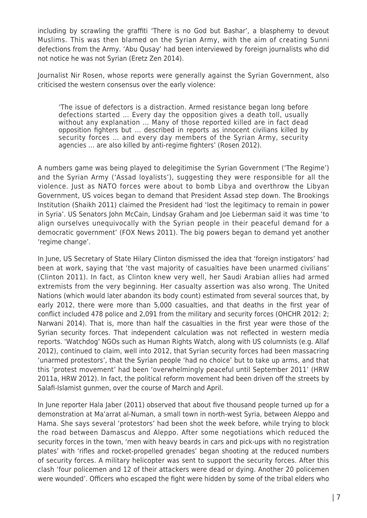including by scrawling the graffiti 'There is no God but Bashar', a blasphemy to devout Muslims. This was then blamed on the Syrian Army, with the aim of creating Sunni defections from the Army. 'Abu Qusay' had been interviewed by foreign journalists who did not notice he was not Syrian (Eretz Zen 2014).

Journalist Nir Rosen, whose reports were generally against the Syrian Government, also criticised the western consensus over the early violence:

'The issue of defectors is a distraction. Armed resistance began long before defections started … Every day the opposition gives a death toll, usually without any explanation … Many of those reported killed are in fact dead opposition fighters but … described in reports as innocent civilians killed by security forces … and every day members of the Syrian Army, security agencies … are also killed by anti-regime fighters' (Rosen 2012).

A numbers game was being played to delegitimise the Syrian Government ('The Regime') and the Syrian Army ('Assad loyalists'), suggesting they were responsible for all the violence. Just as NATO forces were about to bomb Libya and overthrow the Libyan Government, US voices began to demand that President Assad step down. The Brookings Institution (Shaikh 2011) claimed the President had 'lost the legitimacy to remain in power in Syria'. US Senators John McCain, Lindsay Graham and Joe Lieberman said it was time 'to align ourselves unequivocally with the Syrian people in their peaceful demand for a democratic government' (FOX News 2011). The big powers began to demand yet another 'regime change'.

In June, US Secretary of State Hilary Clinton dismissed the idea that 'foreign instigators' had been at work, saying that 'the vast majority of casualties have been unarmed civilians' (Clinton 2011). In fact, as Clinton knew very well, her Saudi Arabian allies had armed extremists from the very beginning. Her casualty assertion was also wrong. The United Nations (which would later abandon its body count) estimated from several sources that, by early 2012, there were more than 5,000 casualties, and that deaths in the first year of conflict included 478 police and 2,091 from the military and security forces (OHCHR 2012: 2; Narwani 2014). That is, more than half the casualties in the first year were those of the Syrian security forces. That independent calculation was not reflected in western media reports. 'Watchdog' NGOs such as Human Rights Watch, along with US columnists (e.g. Allaf 2012), continued to claim, well into 2012, that Syrian security forces had been massacring 'unarmed protestors', that the Syrian people 'had no choice' but to take up arms, and that this 'protest movement' had been 'overwhelmingly peaceful until September 2011' (HRW 2011a, HRW 2012). In fact, the political reform movement had been driven off the streets by Salafi-Islamist gunmen, over the course of March and April.

In June reporter Hala Jaber (2011) observed that about five thousand people turned up for a demonstration at Ma'arrat al-Numan, a small town in north-west Syria, between Aleppo and Hama. She says several 'protestors' had been shot the week before, while trying to block the road between Damascus and Aleppo. After some negotiations which reduced the security forces in the town, 'men with heavy beards in cars and pick-ups with no registration plates' with 'rifles and rocket-propelled grenades' began shooting at the reduced numbers of security forces. A military helicopter was sent to support the security forces. After this clash 'four policemen and 12 of their attackers were dead or dying. Another 20 policemen were wounded'. Officers who escaped the fight were hidden by some of the tribal elders who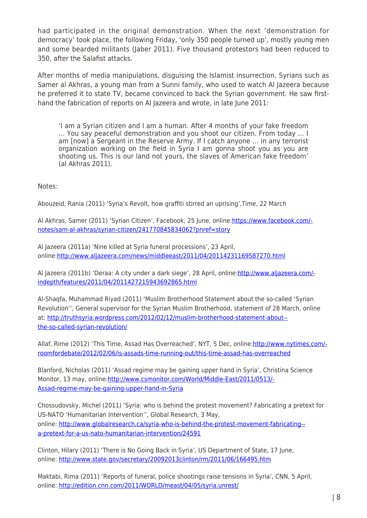had participated in the original demonstration. When the next 'demonstration for democracy' took place, the following Friday, 'only 350 people turned up', mostly young men and some bearded militants (Jaber 2011). Five thousand protestors had been reduced to 350, after the Salafist attacks.

After months of media manipulations, disguising the Islamist insurrection, Syrians such as Samer al Akhras, a young man from a Sunni family, who used to watch Al Jazeera because he preferred it to state TV, became convinced to back the Syrian government. He saw firsthand the fabrication of reports on AI Jazeera and wrote, in late June 2011:

'I am a Syrian citizen and I am a human. After 4 months of your fake freedom … You say peaceful demonstration and you shoot our citizen. From today … I am [now] a Sergeant in the Reserve Army. If I catch anyone … in any terrorist organization working on the field in Syria I am gonna shoot you as you are shooting us. This is our land not yours, the slaves of American fake freedom' (al Akhras 2011).

Notes:

Abouzeid, Rania (2011) 'Syria's Revolt, how graffiti stirred an uprising',Time, 22 March

Al Akhras, Samer (2011) 'Syrian Citizen', Facebook, 25 June, online[:https://www.facebook.com/](https://www.facebook.com/notes/sam-al-akhras/syrian-citizen/241770845834062?pnref=story) [notes/sam-al-akhras/syrian-citizen/241770845834062?pnref=story](https://www.facebook.com/notes/sam-al-akhras/syrian-citizen/241770845834062?pnref=story)

Al Jazeera (2011a) 'Nine killed at Syria funeral processions', 23 April, online:<http://www.aljazeera.com/news/middleeast/2011/04/20114231169587270.html>

Al Jazeera (2011b) 'Deraa: A city under a dark siege', 28 April, online:[http://www.aljazeera.com/](http://www.aljazeera.com/indepth/features/2011/04/2011427215943692865.html) [indepth/features/2011/04/2011427215943692865.html](http://www.aljazeera.com/indepth/features/2011/04/2011427215943692865.html)

Al-Shaqfa, Muhammad Riyad (2011) 'Muslim Brotherhood Statement about the so-called 'Syrian Revolution'', General supervisor for the Syrian Muslim Brotherhood, statement of 28 March, online at: [http://truthsyria.wordpress.com/2012/02/12/muslim-brotherhood-statement-about-](http://truthsyria.wordpress.com/2012/02/12/muslim-brotherhood-statement-about-the-so-called-syrian-revolution/) [the-so-called-syrian-revolution/](http://truthsyria.wordpress.com/2012/02/12/muslim-brotherhood-statement-about-the-so-called-syrian-revolution/)

Allaf, Rime (2012) 'This Time, Assad Has Overreached', NYT, 5 Dec, online[:http://www.nytimes.com/](http://www.nytimes.com/roomfordebate/2012/02/06/is-assads-time-running-out/this-time-assad-has-overreached) [roomfordebate/2012/02/06/is-assads-time-running-out/this-time-assad-has-overreached](http://www.nytimes.com/roomfordebate/2012/02/06/is-assads-time-running-out/this-time-assad-has-overreached)

Blanford, Nicholas (2011) 'Assad regime may be gaining upper hand in Syria', Christina Science Monitor, 13 may, online:[http://www.csmonitor.com/World/Middle-East/2011/0513/-](http://www.csmonitor.com/World/Middle-East/2011/0513/Assad-regime-may-be-gaining-upper-hand-in-Syria) [Assad-regime-may-be-gaining-upper-hand-in-Syria](http://www.csmonitor.com/World/Middle-East/2011/0513/Assad-regime-may-be-gaining-upper-hand-in-Syria)

Chossudovsky, Michel (2011) 'Syria: who is behind the protest movement? Fabricating a pretext for US-NATO 'Humanitarian Intervention'', Global Research, 3 May, online: [http://www.globalresearch.ca/syria-who-is-behind-the-protest-movement-fabricating-](http://www.globalresearch.ca/syria-who-is-behind-the-protest-movement-fabricating-a-pretext-for-a-us-nato-humanitarian-intervention/24591) [a-pretext-for-a-us-nato-humanitarian-intervention/24591](http://www.globalresearch.ca/syria-who-is-behind-the-protest-movement-fabricating-a-pretext-for-a-us-nato-humanitarian-intervention/24591)

Clinton, Hilary (2011) 'There is No Going Back in Syria', US Department of State, 17 June, online: <http://www.state.gov/secretary/20092013clinton/rm/2011/06/166495.htm>

Maktabi, Rima (2011) 'Reports of funeral, police shootings raise tensions in Syria', CNN, 5 April, online: <http://edition.cnn.com/2011/WORLD/meast/04/05/syria.unrest/>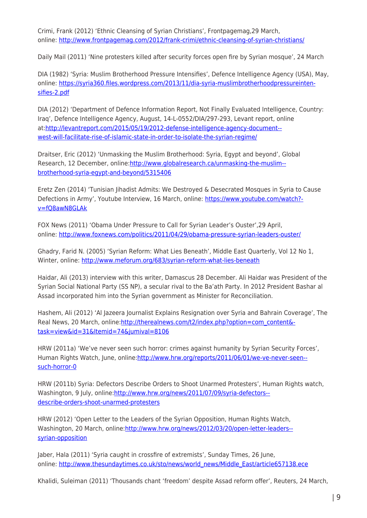Crimi, Frank (2012) 'Ethnic Cleansing of Syrian Christians', Frontpagemag,29 March, online: <http://www.frontpagemag.com/2012/frank-crimi/ethnic-cleansing-of-syrian-christians/>

Daily Mail (2011) 'Nine protesters killed after security forces open fire by Syrian mosque', 24 March

DIA (1982) 'Syria: Muslim Brotherhood Pressure Intensifies', Defence Intelligence Agency (USA), May, online: [https://syria360.files.wordpress.com/2013/11/dia-syria-muslimbrotherhoodpressureinten](https://syria360.files.wordpress.com/2013/11/dia-syria-muslimbrotherhoodpressureintensifies-2.pdf)[sifies-2.pdf](https://syria360.files.wordpress.com/2013/11/dia-syria-muslimbrotherhoodpressureintensifies-2.pdf)

DIA (2012) 'Department of Defence Information Report, Not Finally Evaluated Intelligence, Country: Iraq', Defence Intelligence Agency, August, 14-L-0552/DIA/297-293, Levant report, online at:[http://levantreport.com/2015/05/19/2012-defense-intelligence-agency-document-](http://levantreport.com/2015/05/19/2012-defense-intelligence-agency-document-west-will-facilitate-rise-of-islamic-state-in-order-to-isolate-the-syrian-regime/) [west-will-facilitate-rise-of-islamic-state-in-order-to-isolate-the-syrian-regime/](http://levantreport.com/2015/05/19/2012-defense-intelligence-agency-document-west-will-facilitate-rise-of-islamic-state-in-order-to-isolate-the-syrian-regime/)

Draitser, Eric (2012) 'Unmasking the Muslim Brotherhood: Syria, Egypt and beyond', Global Research, 12 December, online:[http://www.globalresearch.ca/unmasking-the-muslim-](http://www.globalresearch.ca/unmasking-the-muslim-brotherhood-syria-egypt-and-beyond/5315406) [brotherhood-syria-egypt-and-beyond/5315406](http://www.globalresearch.ca/unmasking-the-muslim-brotherhood-syria-egypt-and-beyond/5315406)

Eretz Zen (2014) 'Tunisian Jihadist Admits: We Destroyed & Desecrated Mosques in Syria to Cause Defections in Army', Youtube Interview, 16 March, online: [https://www.youtube.com/watch?](https://www.youtube.com/watch?v=fQ8awN8GLAk) [v=fQ8awN8GLAk](https://www.youtube.com/watch?v=fQ8awN8GLAk)

FOX News (2011) 'Obama Under Pressure to Call for Syrian Leader's Ouster',29 April, online: <http://www.foxnews.com/politics/2011/04/29/obama-pressure-syrian-leaders-ouster/>

Ghadry, Farid N. (2005) 'Syrian Reform: What Lies Beneath', Middle East Quarterly, Vol 12 No 1, Winter, online:<http://www.meforum.org/683/syrian-reform-what-lies-beneath>

Haidar, Ali (2013) interview with this writer, Damascus 28 December. Ali Haidar was President of the Syrian Social National Party (SS NP), a secular rival to the Ba'ath Party. In 2012 President Bashar al Assad incorporated him into the Syrian government as Minister for Reconciliation.

Hashem, Ali (2012) 'Al Jazeera Journalist Explains Resignation over Syria and Bahrain Coverage', The Real News, 20 March, online[:http://therealnews.com/t2/index.php?option=com\\_content&](http://therealnews.com/t2/index.php?option=com_content&task=view&id=31&Itemid=74&jumival=8106) [task=view&id=31&Itemid=74&jumival=8106](http://therealnews.com/t2/index.php?option=com_content&task=view&id=31&Itemid=74&jumival=8106)

HRW (2011a) 'We've never seen such horror: crimes against humanity by Syrian Security Forces', Human Rights Watch, June, online:[http://www.hrw.org/reports/2011/06/01/we-ve-never-seen-](http://www.hrw.org/reports/2011/06/01/we-ve-never-seen-such-horror-0) [such-horror-0](http://www.hrw.org/reports/2011/06/01/we-ve-never-seen-such-horror-0)

HRW (2011b) Syria: Defectors Describe Orders to Shoot Unarmed Protesters', Human Rights watch, Washington, 9 July, online[:http://www.hrw.org/news/2011/07/09/syria-defectors-](http://www.hrw.org/news/2011/07/09/syria-defectors-describe-orders-shoot-unarmed-protesters) [describe-orders-shoot-unarmed-protesters](http://www.hrw.org/news/2011/07/09/syria-defectors-describe-orders-shoot-unarmed-protesters)

HRW (2012) 'Open Letter to the Leaders of the Syrian Opposition, Human Rights Watch, Washington, 20 March, online:[http://www.hrw.org/news/2012/03/20/open-letter-leaders-](http://www.hrw.org/news/2012/03/20/open-letter-leaders-syrian-opposition) [syrian-opposition](http://www.hrw.org/news/2012/03/20/open-letter-leaders-syrian-opposition)

Jaber, Hala (2011) 'Syria caught in crossfire of extremists', Sunday Times, 26 June, online: [http://www.thesundaytimes.co.uk/sto/news/world\\_news/Middle\\_East/article657138.ece](http://www.thesundaytimes.co.uk/sto/news/world_news/Middle_East/article657138.ece)

Khalidi, Suleiman (2011) 'Thousands chant 'freedom' despite Assad reform offer', Reuters, 24 March,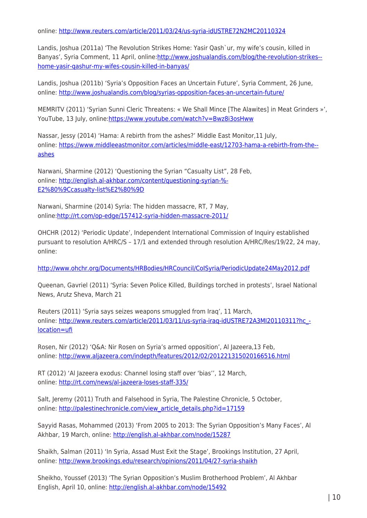online: <http://www.reuters.com/article/2011/03/24/us-syria-idUSTRE72N2MC20110324>

Landis, Joshua (2011a) 'The Revolution Strikes Home: Yasir Qash`ur, my wife's cousin, killed in Banyas', Syria Comment, 11 April, online[:http://www.joshualandis.com/blog/the-revolution-strikes-](http://www.joshualandis.com/blog/the-revolution-strikes-home-yasir-qashur-my-wifes-cousin-killed-in-banyas/) [home-yasir-qashur-my-wifes-cousin-killed-in-banyas/](http://www.joshualandis.com/blog/the-revolution-strikes-home-yasir-qashur-my-wifes-cousin-killed-in-banyas/)

Landis, Joshua (2011b) 'Syria's Opposition Faces an Uncertain Future', Syria Comment, 26 June, online: <http://www.joshualandis.com/blog/syrias-opposition-faces-an-uncertain-future/>

MEMRITV (2011) 'Syrian Sunni Cleric Threatens: « We Shall Mince [The Alawites] in Meat Grinders »', YouTube, 13 July, online[:https://www.youtube.com/watch?v=Bwz8i3osHww](https://www.youtube.com/watch?v=Bwz8i3osHww)

Nassar, Jessy (2014) 'Hama: A rebirth from the ashes?' Middle East Monitor,11 July, online: [https://www.middleeastmonitor.com/articles/middle-east/12703-hama-a-rebirth-from-the-](https://www.middleeastmonitor.com/articles/middle-east/12703-hama-a-rebirth-from-the-ashes) [ashes](https://www.middleeastmonitor.com/articles/middle-east/12703-hama-a-rebirth-from-the-ashes)

Narwani, Sharmine (2012) 'Questioning the Syrian "Casualty List", 28 Feb, online: [http://english.al-akhbar.com/content/questioning-syrian-%-](http://english.al-akhbar.com/content/questioning-syrian-%E2%80%9Ccasualty-list%E2%80%9D) [E2%80%9Ccasualty-list%E2%80%9D](http://english.al-akhbar.com/content/questioning-syrian-%E2%80%9Ccasualty-list%E2%80%9D)

Narwani, Sharmine (2014) Syria: The hidden massacre, RT, 7 May, online:<http://rt.com/op-edge/157412-syria-hidden-massacre-2011/>

OHCHR (2012) 'Periodic Update', Independent International Commission of Inquiry established pursuant to resolution A/HRC/S – 17/1 and extended through resolution A/HRC/Res/19/22, 24 may, online:

<http://www.ohchr.org/Documents/HRBodies/HRCouncil/CoISyria/PeriodicUpdate24May2012.pdf>

Queenan, Gavriel (2011) 'Syria: Seven Police Killed, Buildings torched in protests', Israel National News, Arutz Sheva, March 21

Reuters (2011) 'Syria says seizes weapons smuggled from Iraq', 11 March, online: http://www.reuters.com/article/2011/03/11/us-syria-iraq-idUSTRE72A3MI20110311?hc [location=ufi](http://www.reuters.com/article/2011/03/11/us-syria-iraq-idUSTRE72A3MI20110311?hc_location=ufi)

Rosen, Nir (2012) 'Q&A: Nir Rosen on Syria's armed opposition', Al Jazeera,13 Feb, online: <http://www.aljazeera.com/indepth/features/2012/02/201221315020166516.html>

RT (2012) 'Al Jazeera exodus: Channel losing staff over 'bias'', 12 March, online: <http://rt.com/news/al-jazeera-loses-staff-335/>

Salt, Jeremy (2011) Truth and Falsehood in Syria, The Palestine Chronicle, 5 October, online: [http://palestinechronicle.com/view\\_article\\_details.php?id=17159](http://palestinechronicle.com/view_article_details.php?id=17159)

Sayyid Rasas, Mohammed (2013) 'From 2005 to 2013: The Syrian Opposition's Many Faces', Al Akhbar, 19 March, online: <http://english.al-akhbar.com/node/15287>

Shaikh, Salman (2011) 'In Syria, Assad Must Exit the Stage', Brookings Institution, 27 April, online: <http://www.brookings.edu/research/opinions/2011/04/27-syria-shaikh>

Sheikho, Youssef (2013) 'The Syrian Opposition's Muslim Brotherhood Problem', Al Akhbar English, April 10, online: <http://english.al-akhbar.com/node/15492>